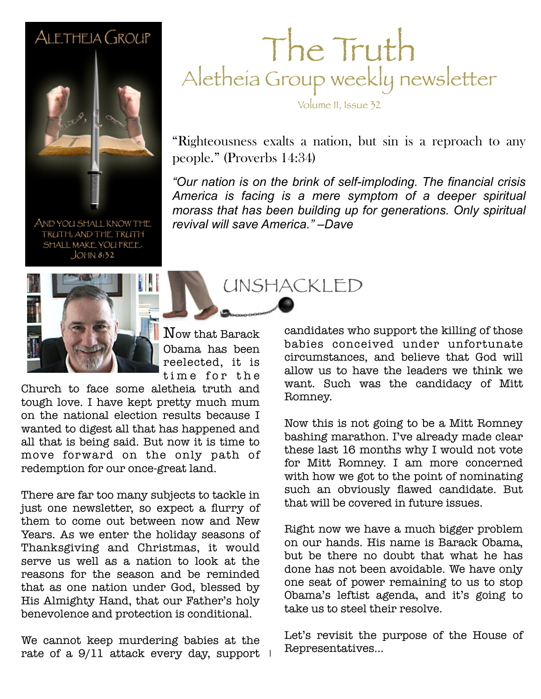#### ALETHEIA GROUP



AND YOU SHALL KNOW THE TRUTH, AND THE TRUTH SHALL MAKE YOU FREE.  $JOHM 8:32$ 

### The Truth Aletheia Group weekly newsletter

Volume II, Issue 32

"Righteousness exalts a nation, but sin is a reproach to any people." (Proverbs 14:34)

America is facing is a mere symptom of a deeper spiritual *"Our nation is on the brink of self-imploding. The financial crisis morass that has been building up for generations. Only spiritual revival will save America." –Dave*

UNSHACKLED



Now that Barack Obama has been reelected, it is time for the

Church to face some aletheia truth and tough love. I have kept pretty much mum on the national election results because I wanted to digest all that has happened and all that is being said. But now it is time to move forward on the only path of redemption for our once-great land.

There are far too many subjects to tackle in just one newsletter, so expect a flurry of them to come out between now and New Years. As we enter the holiday seasons of Thanksgiving and Christmas, it would serve us well as a nation to look at the reasons for the season and be reminded that as one nation under God, blessed by His Almighty Hand, that our Father's holy benevolence and protection is conditional.

rate of a 9/11 attack every day, support  $\top$ We cannot keep murdering babies at the

candidates who support the killing of those babies conceived under unfortunate circumstances, and believe that God will allow us to have the leaders we think we want. Such was the candidacy of Mitt Romney.

Now this is not going to be a Mitt Romney bashing marathon. I've already made clear these last 16 months why I would not vote for Mitt Romney. I am more concerned with how we got to the point of nominating such an obviously flawed candidate. But that will be covered in future issues.

Right now we have a much bigger problem on our hands. His name is Barack Obama, but be there no doubt that what he has done has not been avoidable. We have only one seat of power remaining to us to stop Obama's leftist agenda, and it's going to take us to steel their resolve.

Let's revisit the purpose of the House of Representatives...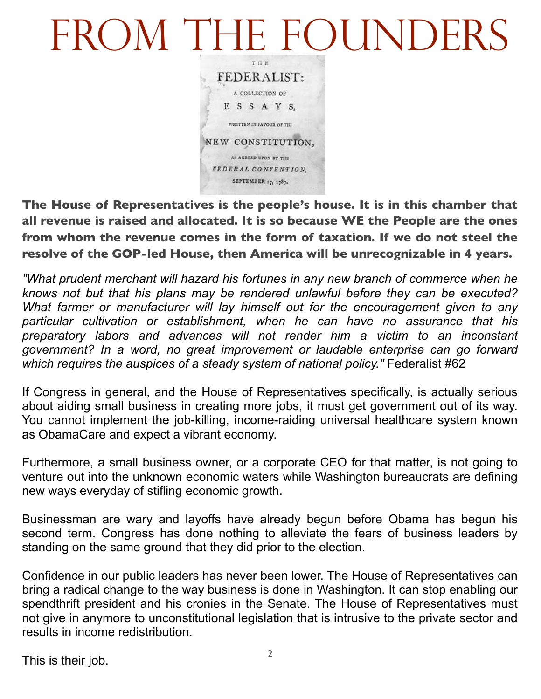# FROM THE FOUNDERS



**The House of Representatives is the people's house. It is in this chamber that all revenue is raised and allocated. It is so because WE the People are the ones from whom the revenue comes in the form of taxation. If we do not steel the resolve of the GOP-led House, then America will be unrecognizable in 4 years.**

*"What prudent merchant will hazard his fortunes in any new branch of commerce when he knows not but that his plans may be rendered unlawful before they can be executed? What farmer or manufacturer will lay himself out for the encouragement given to any particular cultivation or establishment, when he can have no assurance that his preparatory labors and advances will not render him a victim to an inconstant government? In a word, no great improvement or laudable enterprise can go forward*  which requires the auspices of a steady system of national policy." Federalist #62

If Congress in general, and the House of Representatives specifically, is actually serious about aiding small business in creating more jobs, it must get government out of its way. You cannot implement the job-killing, income-raiding universal healthcare system known as ObamaCare and expect a vibrant economy.

Furthermore, a small business owner, or a corporate CEO for that matter, is not going to venture out into the unknown economic waters while Washington bureaucrats are defining new ways everyday of stifling economic growth.

Businessman are wary and layoffs have already begun before Obama has begun his second term. Congress has done nothing to alleviate the fears of business leaders by standing on the same ground that they did prior to the election.

Confidence in our public leaders has never been lower. The House of Representatives can bring a radical change to the way business is done in Washington. It can stop enabling our spendthrift president and his cronies in the Senate. The House of Representatives must not give in anymore to unconstitutional legislation that is intrusive to the private sector and results in income redistribution.

This is their job.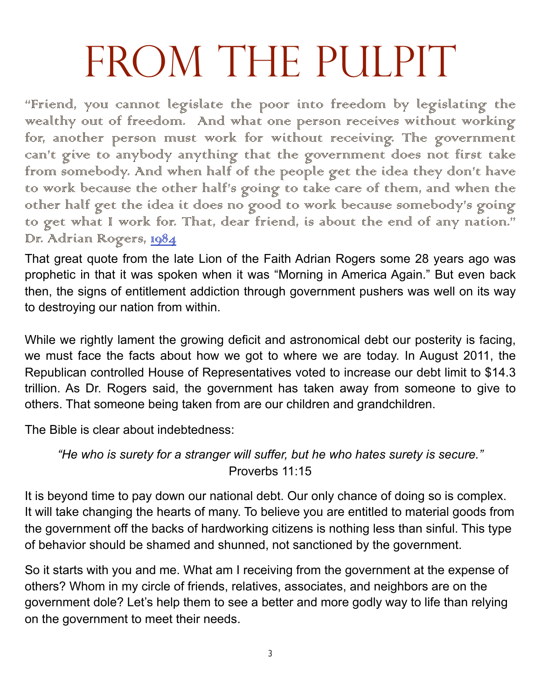# FROM THE PULPIT

"Friend, you cannot legislate the poor into freedom by legislating the wealthy out of freedom. And what one person receives without working for, another person must work for without receiving. The government can't give to anybody anything that the government does not first take from somebody. And when half of the people get the idea they don't have to work because the other half's going to take care of them, and when the other half get the idea it does no good to work because somebody's going to get what I work for. That, dear friend, is about the end of any nation." Dr. Adriam Rogers, 1984

That great quote from the late Lion of the Faith Adrian Rogers some 28 years ago was prophetic in that it was spoken when it was "Morning in America Again." But even back then, the signs of entitlement addiction through government pushers was well on its way to destroying our nation from within.

While we rightly lament the growing deficit and astronomical debt our posterity is facing, we must face the facts about how we got to where we are today. In August 2011, the Republican controlled House of Representatives voted to increase our debt limit to \$14.3 trillion. As Dr. Rogers said, the government has taken away from someone to give to others. That someone being taken from are our children and grandchildren.

The Bible is clear about indebtedness:

*"He who is surety for a stranger will suffer, but he who hates surety is secure."*  Proverbs 11:15

It is beyond time to pay down our national debt. Our only chance of doing so is complex. It will take changing the hearts of many. To believe you are entitled to material goods from the government off the backs of hardworking citizens is nothing less than sinful. This type of behavior should be shamed and shunned, not sanctioned by the government.

So it starts with you and me. What am I receiving from the government at the expense of others? Whom in my circle of friends, relatives, associates, and neighbors are on the government dole? Let's help them to see a better and more godly way to life than relying on the government to meet their needs.